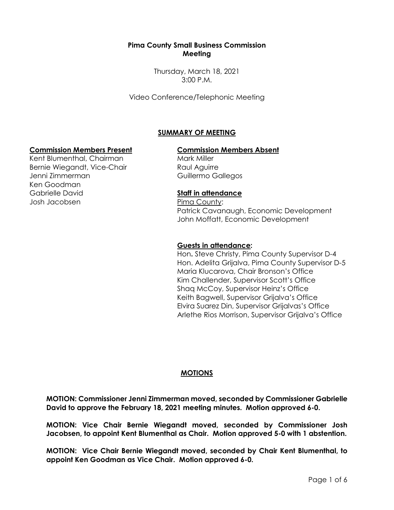### **Pima County Small Business Commission Meeting**

Thursday, March 18, 2021 3:00 P.M.

Video Conference/Telephonic Meeting

# **SUMMARY OF MEETING**

### **Commission Members Present Commission Members Absent**

Kent Blumenthal, Chairman Bernie Wiegandt, Vice-Chair Jenni Zimmerman Ken Goodman Gabrielle David Josh Jacobsen

Mark Miller Raul Aguirre Guillermo Gallegos

### **Staff in attendance**

Pima County: Patrick Cavanaugh, Economic Development John Moffatt, Economic Development

#### **Guests in attendance:**

Hon**.** Steve Christy, Pima County Supervisor D-4 Hon. Adelita Grijalva, Pima County Supervisor D-5 Maria Klucarova, Chair Bronson's Office Kim Challender, Supervisor Scott's Office Shaq McCoy, Supervisor Heinz's Office Keith Bagwell, Supervisor Grijalva's Office Elvira Suarez Din, Supervisor Grijalvas's Office Arlethe Rios Morrison, Supervisor Grijalva's Office

#### **MOTIONS**

**MOTION: Commissioner Jenni Zimmerman moved, seconded by Commissioner Gabrielle David to approve the February 18, 2021 meeting minutes. Motion approved 6-0.**

**MOTION: Vice Chair Bernie Wiegandt moved, seconded by Commissioner Josh Jacobsen, to appoint Kent Blumenthal as Chair. Motion approved 5-0 with 1 abstention.**

**MOTION: Vice Chair Bernie Wiegandt moved, seconded by Chair Kent Blumenthal, to appoint Ken Goodman as Vice Chair. Motion approved 6-0.**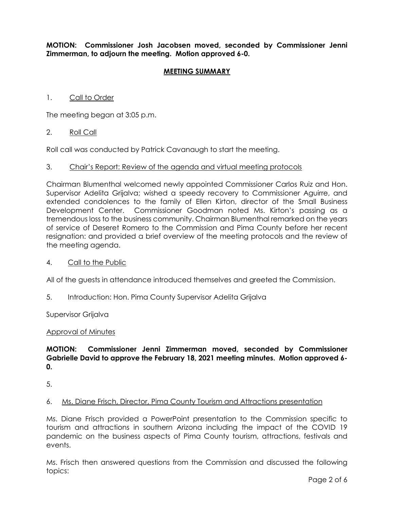**MOTION: Commissioner Josh Jacobsen moved, seconded by Commissioner Jenni Zimmerman, to adjourn the meeting. Motion approved 6-0.**

### **MEETING SUMMARY**

### 1. Call to Order

The meeting began at 3:05 p.m.

#### 2. Roll Call

Roll call was conducted by Patrick Cavanaugh to start the meeting.

#### 3. Chair's Report: Review of the agenda and virtual meeting protocols

Chairman Blumenthal welcomed newly appointed Commissioner Carlos Ruiz and Hon. Supervisor Adelita Grijalva; wished a speedy recovery to Commissioner Aguirre, and extended condolences to the family of Ellen Kirton, director of the Small Business Development Center. Commissioner Goodman noted Ms. Kirton's passing as a tremendous loss to the business community. Chairman Blumenthal remarked on the years of service of Deseret Romero to the Commission and Pima County before her recent resignation: and provided a brief overview of the meeting protocols and the review of the meeting agenda.

#### 4. Call to the Public

All of the guests in attendance introduced themselves and greeted the Commission.

5. Introduction: Hon. Pima County Supervisor Adelita Grijalva

Supervisor Grijalva

#### Approval of Minutes

### **MOTION: Commissioner Jenni Zimmerman moved, seconded by Commissioner Gabrielle David to approve the February 18, 2021 meeting minutes. Motion approved 6- 0.**

5.

#### 6. Ms. Diane Frisch, Director, Pima County Tourism and Attractions presentation

Ms. Diane Frisch provided a PowerPoint presentation to the Commission specific to tourism and attractions in southern Arizona including the impact of the COVID 19 pandemic on the business aspects of Pima County tourism, attractions, festivals and events.

Ms. Frisch then answered questions from the Commission and discussed the following topics: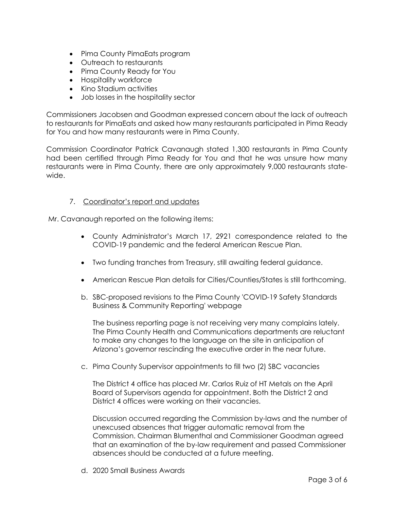- Pima County PimaEats program
- Outreach to restaurants
- Pima County Ready for You
- Hospitality workforce
- Kino Stadium activities
- Job losses in the hospitality sector

Commissioners Jacobsen and Goodman expressed concern about the lack of outreach to restaurants for PimaEats and asked how many restaurants participated in Pima Ready for You and how many restaurants were in Pima County.

Commission Coordinator Patrick Cavanaugh stated 1,300 restaurants in Pima County had been certified through Pima Ready for You and that he was unsure how many restaurants were in Pima County, there are only approximately 9,000 restaurants statewide.

## 7. Coordinator's report and updates

Mr. Cavanaugh reported on the following items:

- County Administrator's March 17, 2921 correspondence related to the COVID-19 pandemic and the federal American Rescue Plan.
- Two funding tranches from Treasury, still awaiting federal guidance.
- American Rescue Plan details for Cities/Counties/States is still forthcoming.
- b. SBC-proposed revisions to the Pima County 'COVID-19 Safety Standards Business & Community Reporting' webpage

The business reporting page is not receiving very many complains lately. The Pima County Health and Communications departments are reluctant to make any changes to the language on the site in anticipation of Arizona's governor rescinding the executive order in the near future.

c. Pima County Supervisor appointments to fill two (2) SBC vacancies

The District 4 office has placed Mr. Carlos Ruiz of HT Metals on the April Board of Supervisors agenda for appointment. Both the District 2 and District 4 offices were working on their vacancies.

Discussion occurred regarding the Commission by-laws and the number of unexcused absences that trigger automatic removal from the Commission. Chairman Blumenthal and Commissioner Goodman agreed that an examination of the by-law requirement and passed Commissioner absences should be conducted at a future meeting.

d. 2020 Small Business Awards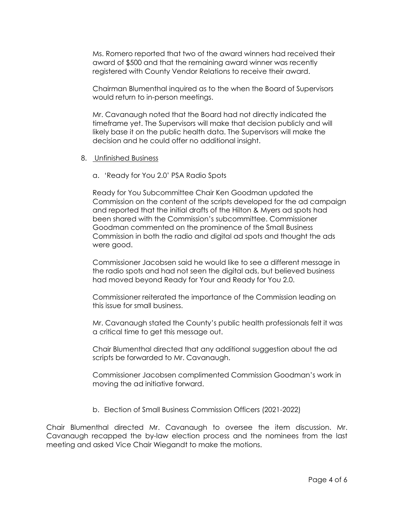Ms. Romero reported that two of the award winners had received their award of \$500 and that the remaining award winner was recently registered with County Vendor Relations to receive their award.

Chairman Blumenthal inquired as to the when the Board of Supervisors would return to in-person meetings.

Mr. Cavanaugh noted that the Board had not directly indicated the timeframe yet. The Supervisors will make that decision publicly and will likely base it on the public health data. The Supervisors will make the decision and he could offer no additional insight.

- 8. Unfinished Business
	- a. 'Ready for You 2.0' PSA Radio Spots

Ready for You Subcommittee Chair Ken Goodman updated the Commission on the content of the scripts developed for the ad campaign and reported that the initial drafts of the Hilton & Myers ad spots had been shared with the Commission's subcommittee. Commissioner Goodman commented on the prominence of the Small Business Commission in both the radio and digital ad spots and thought the ads were good.

Commissioner Jacobsen said he would like to see a different message in the radio spots and had not seen the digital ads, but believed business had moved beyond Ready for Your and Ready for You 2.0.

Commissioner reiterated the importance of the Commission leading on this issue for small business.

Mr. Cavanaugh stated the County's public health professionals felt it was a critical time to get this message out.

Chair Blumenthal directed that any additional suggestion about the ad scripts be forwarded to Mr. Cavanaugh.

Commissioner Jacobsen complimented Commission Goodman's work in moving the ad initiative forward.

b. Election of Small Business Commission Officers (2021-2022)

Chair Blumenthal directed Mr. Cavanaugh to oversee the item discussion. Mr. Cavanaugh recapped the by-law election process and the nominees from the last meeting and asked Vice Chair Wiegandt to make the motions.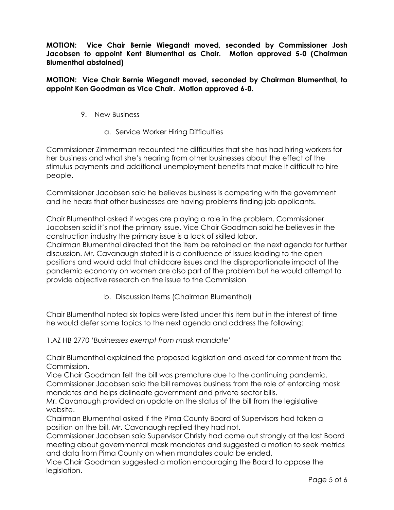**MOTION: Vice Chair Bernie Wiegandt moved, seconded by Commissioner Josh Jacobsen to appoint Kent Blumenthal as Chair. Motion approved 5-0 (Chairman Blumenthal abstained)** 

**MOTION: Vice Chair Bernie Wiegandt moved, seconded by Chairman Blumenthal, to appoint Ken Goodman as Vice Chair. Motion approved 6-0.**

### 9. New Business

a. Service Worker Hiring Difficulties

Commissioner Zimmerman recounted the difficulties that she has had hiring workers for her business and what she's hearing from other businesses about the effect of the stimulus payments and additional unemployment benefits that make it difficult to hire people.

Commissioner Jacobsen said he believes business is competing with the government and he hears that other businesses are having problems finding job applicants.

Chair Blumenthal asked if wages are playing a role in the problem. Commissioner Jacobsen said it's not the primary issue. Vice Chair Goodman said he believes in the construction industry the primary issue is a lack of skilled labor.

Chairman Blumenthal directed that the item be retained on the next agenda for further discussion. Mr. Cavanaugh stated it is a confluence of issues leading to the open positions and would add that childcare issues and the disproportionate impact of the pandemic economy on women are also part of the problem but he would attempt to provide objective research on the issue to the Commission

b. Discussion Items (Chairman Blumenthal)

Chair Blumenthal noted six topics were listed under this item but in the interest of time he would defer some topics to the next agenda and address the following:

1.AZ HB 2770 '*Businesses exempt from mask mandate*'

Chair Blumenthal explained the proposed legislation and asked for comment from the Commission.

Vice Chair Goodman felt the bill was premature due to the continuing pandemic. Commissioner Jacobsen said the bill removes business from the role of enforcing mask mandates and helps delineate government and private sector bills.

Mr. Cavanaugh provided an update on the status of the bill from the legislative website.

Chairman Blumenthal asked if the Pima County Board of Supervisors had taken a position on the bill. Mr. Cavanaugh replied they had not.

Commissioner Jacobsen said Supervisor Christy had come out strongly at the last Board meeting about governmental mask mandates and suggested a motion to seek metrics and data from Pima County on when mandates could be ended.

Vice Chair Goodman suggested a motion encouraging the Board to oppose the legislation.